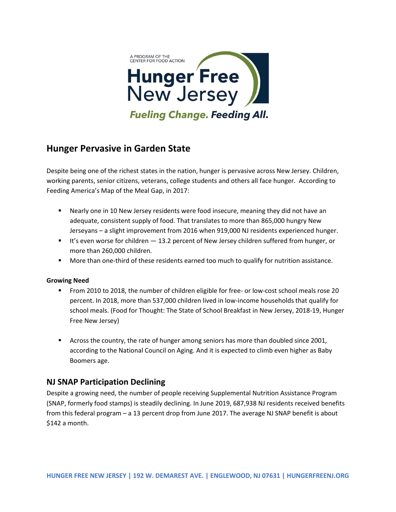

# **Hunger Pervasive in Garden State**

Despite being one of the richest states in the nation, hunger is pervasive across New Jersey. Children, working parents, senior citizens, veterans, college students and others all face hunger. According to Feeding America's Map of the Meal Gap, in 2017:

- Nearly one in 10 New Jersey residents were food insecure, meaning they did not have an adequate, consistent supply of food. That translates to more than 865,000 hungry New Jerseyans – a slight improvement from 2016 when 919,000 NJ residents experienced hunger.
- It's even worse for children 13.2 percent of New Jersey children suffered from hunger, or more than 260,000 children.
- More than one-third of these residents earned too much to qualify for nutrition assistance.

#### **Growing Need**

- From 2010 to 2018, the number of children eligible for free- or low-cost school meals rose 20 percent. In 2018, more than 537,000 children lived in low-income households that qualify for school meals. (Food for Thought: The State of School Breakfast in New Jersey, 2018-19, Hunger Free New Jersey)
- Across the country, the rate of hunger among seniors has more than doubled since 2001, according to the National Council on Aging. And it is expected to climb even higher as Baby Boomers age.

## **NJ SNAP Participation Declining**

Despite a growing need, the number of people receiving Supplemental Nutrition Assistance Program (SNAP, formerly food stamps) is steadily declining. In June 2019, 687,938 NJ residents received benefits from this federal program – a 13 percent drop from June 2017. The average NJ SNAP benefit is about \$142 a month.